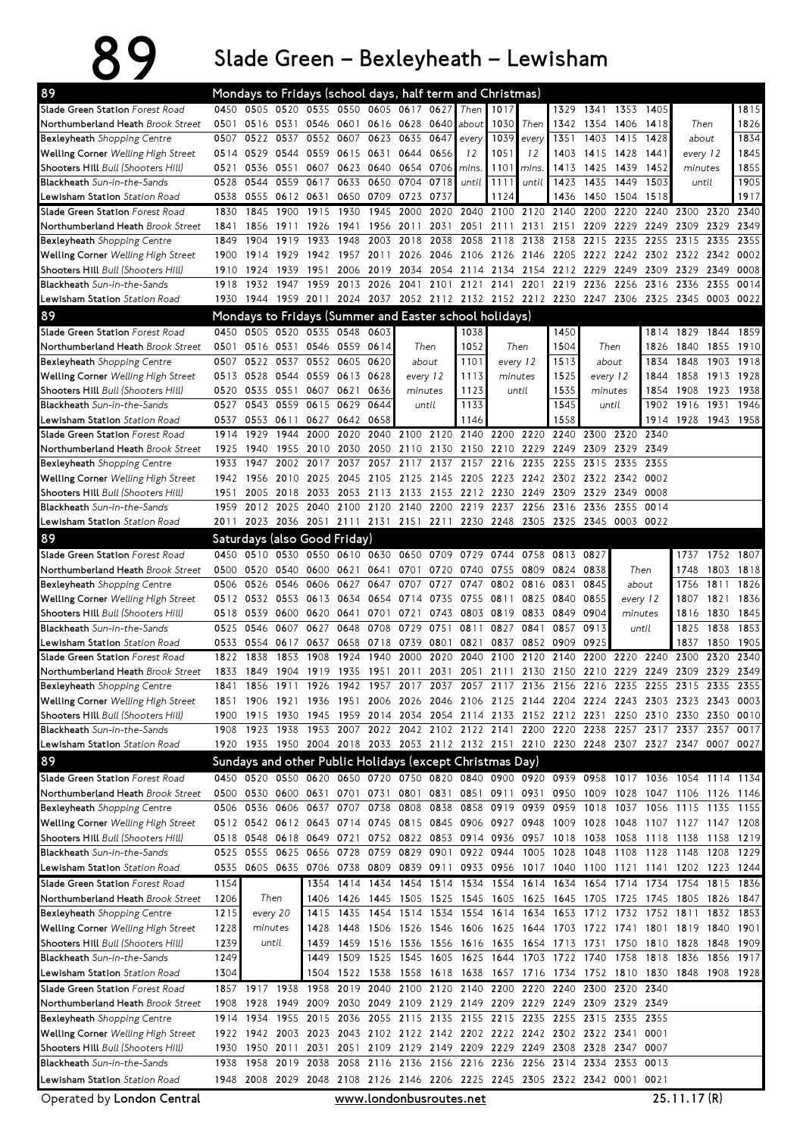## 89 SladeGreen–Bexleyheath–Lewisham

| 89                                                                                                                                       |              |                        |           |                                         |              |                        |              |      | Mondays to Fridays (school days, half term and Christmas)                       |                |       |                     |              |           |               |                                                                                           |           |                   |
|------------------------------------------------------------------------------------------------------------------------------------------|--------------|------------------------|-----------|-----------------------------------------|--------------|------------------------|--------------|------|---------------------------------------------------------------------------------|----------------|-------|---------------------|--------------|-----------|---------------|-------------------------------------------------------------------------------------------|-----------|-------------------|
| Slade Green Station Forest Road                                                                                                          |              |                        |           | 0450 0505 0520 0535 0550 0605 0617 0627 |              |                        |              |      | Then                                                                            | 1017           |       | 1329                | 1341         | 1353 1405 |               |                                                                                           |           | 1815              |
| Northumberland Heath Brook Street                                                                                                        | 0501         | 0516 0531              |           |                                         |              | 0546 0601 0616 0628    |              | 0640 | about                                                                           | 1030           | Then  | 1342                |              | 1354 1406 | 1418          | Then                                                                                      |           | 1826              |
| <b>Bexleyheath</b> Shopping Centre                                                                                                       | 0507         | 0522                   | 0537      | 0552                                    | 0607         |                        | 0623 0635    | 0647 | every                                                                           | 1039           | every | 1351                | 1403         | 1415      | 1428          | about                                                                                     |           | 1834              |
| <b>Welling Corner</b> Welling High Street                                                                                                |              | 0514 0529 0544         |           | 0559 0615 0631 0644                     |              |                        |              | 0656 | 12                                                                              | 1051           | 12    | 1403                |              | 1415 1428 | 1441          | every 12                                                                                  |           | 1845              |
| <b>Shooters Hill</b> Bull (Shooters Hill)                                                                                                | 0521         | 0536                   |           | 0551 0607                               |              | 0623 0640              | 0654         | 0706 | mins.                                                                           | 1101           | mins. | 1413                | 1425         | 1439      | 1452          | minutes                                                                                   |           | 1855              |
| Blackheath Sun-in-the-Sands                                                                                                              | 0528         | 0544                   | 0559      | 0617                                    | 0633         | 0650                   | 0704         | 0718 | until                                                                           | 1111           | until | 1423                | 1435         | 1449      | 1503          | until                                                                                     |           | 1905              |
| <b>Lewisham Station</b> <i>Station Road</i>                                                                                              | 0538         |                        | 0555 0612 | 0631                                    |              | 0650 0709              | 0723         | 0737 |                                                                                 | 1124           |       | 1436                |              | 1450 1504 | 1518          |                                                                                           |           | 1917              |
| Slade Green Station Forest Road                                                                                                          | 1830         | 1845                   | 1900      | 1915                                    | 1930         | 1945                   | 2000         |      | 2020 2040                                                                       | 2100           | 2120  | 2140                | 2200         | 2220      | 2240          | 2300                                                                                      | 2320      | 2340              |
| Northumberland Heath Brook Street                                                                                                        | 1841         | 1856                   | 1911      | 1926                                    | 1941         | 1956                   | 2011         | 2031 | 2051                                                                            | 2111           | 2131  | 2151                | 2209         | 2229      | 2249          | 2309                                                                                      | 2329      | 2349              |
| Bexleyheath Shopping Centre                                                                                                              | 1849         | 1904                   | 1919      | 1933                                    | 1948         | 2003                   | 2018         |      | 2038 2058                                                                       | 2118           | 2138  | 2158                | 2215         | 2235      | 2255          | 2315                                                                                      | 2335      | 2355              |
| Welling Corner Welling High Street                                                                                                       | 1900         | 1914                   | 1929      | 1942 1957 2011                          |              |                        |              |      |                                                                                 |                |       |                     |              |           |               | 2026 2046 2106 2126 2146 2205 2222 2242 2302 2322 2342                                    |           | 0002              |
| Shooters Hill Bull (Shooters Hill)                                                                                                       | 1910         | 1924                   | 1939      | 1951                                    |              | 2006 2019              | 2034         |      | 2054 2114                                                                       |                |       | 2134 2154 2212 2229 |              | 2249      | 2309          | 2329                                                                                      | 2349      | 0008              |
| Blackheath Sun-in-the-Sands                                                                                                              | 1918         | 1932                   | 1947      | 1959                                    | 2013         | 2026                   | 2041         |      | 2101 2121 2141                                                                  |                | 2201  | 2219                | 2236         | 2256      | 2316          | 2336                                                                                      | 2355      | 0014              |
| <b>Lewisham Station</b> Station Road                                                                                                     | 1930         | 1944 1959              |           | 2011                                    |              | 2024 2037              |              |      | 2052 2112 2132 2152 2212 2230 2247 2306                                         |                |       |                     |              |           | 2325          | 2345                                                                                      | 0003      | 0022              |
| 89<br>Mondays to Fridays (Summer and Easter school holidays)<br>0450 0505 0520 0535 0548 0603<br>Slade Green Station Forest Road<br>1844 |              |                        |           |                                         |              |                        |              |      |                                                                                 |                |       |                     |              |           |               |                                                                                           |           |                   |
|                                                                                                                                          |              |                        |           |                                         |              |                        |              |      | 1038                                                                            |                |       | 1450                |              |           | 1814          | 1829                                                                                      |           | 1859              |
| Northumberland Heath Brook Street                                                                                                        | 0501         |                        | 0516 0531 | 0546 0559 0614                          |              |                        | Then         |      | 1052                                                                            | Then           |       | 1504                | Then         |           | 1826          | 1840                                                                                      | 1855      | 1910              |
| <b>Bexleyheath</b> Shopping Centre                                                                                                       | 0507         | 0522                   | 0537      | 0552                                    | 0605         | 0620                   | about        |      | 1101                                                                            | every 12       |       | 1513                | about        |           | 1834          | 1848                                                                                      | 1903      | 1918              |
| Welling Corner Welling High Street                                                                                                       |              |                        |           | 0513 0528 0544 0559 0613 0628           |              |                        | every 12     |      | 1113                                                                            | minutes        |       | 1525                | every 12     |           | 1844          | 1858                                                                                      | 1913 1928 |                   |
| Shooters Hill Bull (Shooters Hill)                                                                                                       | 0520         |                        | 0535 0551 | 0607 0621                               |              | 0636                   | minutes      |      | 1123                                                                            | until          |       | 1535                | minutes      |           | 1854          | 1908                                                                                      | 1923 1938 |                   |
| Blackheath Sun-in-the-Sands                                                                                                              | 0527         |                        |           | 0543 0559 0615 0629                     |              | 0644                   | until        |      | 1133                                                                            |                |       | 1545<br>1558        | until        |           | 1902          | 1916                                                                                      | 1931      | 1946              |
| <b>Lewisham Station</b> Station Road<br>Slade Green Station Forest Road                                                                  | 0537<br>1914 | 0553 0611<br>1929      | 1944      | 0627<br>2000                            | 0642<br>2020 | 0658                   | 2040 2100    |      | 1146<br>2120 2140 2200                                                          |                | 2220  | 2240                | 2300         | 2320      | 1914<br>2340  | 1928                                                                                      | 1943 1958 |                   |
| Northumberland Heath Brook Street                                                                                                        | 1925         | 1940                   | 1955      | 2010                                    | 2030         |                        |              |      | 2050 2110 2130 2150 2210 2229                                                   |                |       | 2249                | 2309         | 2329      | 2349          |                                                                                           |           |                   |
| <b>Bexleyheath</b> Shopping Centre                                                                                                       | 1933         | 1947                   | 2002      | 2017                                    | 2037         | 2057                   | 2117         | 2137 |                                                                                 | 2157 2216 2235 |       | 2255                | 2315         | 2335      | 2355          |                                                                                           |           |                   |
| <b>Welling Corner</b> Welling High Street                                                                                                |              | 1942 1956              | 2010      | 2025                                    |              | 2045 2105              | 2125         |      | 2145 2205                                                                       |                |       | 2223 2242 2302      |              | 2322 2342 | 0002          |                                                                                           |           |                   |
| Shooters Hill Bull (Shooters Hill)                                                                                                       | 1951         | 2005                   | 2018      | 2033                                    |              | 2053 2113              | 2133         |      | 2153 2212                                                                       | 2230           | 2249  | 2309                | 2329         | 2349      | 0008          |                                                                                           |           |                   |
| Blackheath Sun-in-the-Sands                                                                                                              | 1959         | 2012 2025              |           | 2040                                    |              | 2100 2120              | 2140         |      | 2200 2219                                                                       | 2237           | 2256  | 2316                | 2336         | 2355      | 0014          |                                                                                           |           |                   |
| <b>Lewisham Station</b> Station Road                                                                                                     | 2011         |                        |           |                                         |              |                        |              |      | 2023 2036 2051 2111 2131 2151 2211 2230 2248 2305 2325 2345 0003 0022           |                |       |                     |              |           |               |                                                                                           |           |                   |
| 89                                                                                                                                       |              |                        |           |                                         |              |                        |              |      |                                                                                 |                |       |                     |              |           |               |                                                                                           |           |                   |
|                                                                                                                                          |              |                        |           | Saturdays (also Good Friday)            |              |                        |              |      |                                                                                 |                |       |                     |              |           |               |                                                                                           |           |                   |
| Slade Green Station Forest Road                                                                                                          | 0450         | 0510                   | 0530      | 0550                                    | 0610         | 0630                   | 0650         |      | 0709 0729                                                                       | 0744           | 0758  | 0813                | 0827         |           |               | 1737                                                                                      | 1752      | 1807              |
| Northumberland Heath Brook Street<br>Bexleyheath Shopping Centre                                                                         | 0506         | 0500 0520 0540<br>0526 | 0546      | 0606                                    | 0627         | 0600 0621 0641<br>0647 | 0701<br>0707 | 0727 | 0720 0740<br>0747                                                               | 0755<br>0802   | 0816  | 0809 0824<br>0831   | 0838<br>0845 |           | Then<br>about | 1748<br>1756                                                                              | 1811      | 1803 1818<br>1826 |
| Welling Corner Welling High Street                                                                                                       |              | 0512 0532 0553         |           | 0613                                    | 0634         | 0654                   | 0714         |      | 0735 0755                                                                       | 0811           |       | 0825 0840           | 0855         |           | every 12      | 1807                                                                                      | 1821      | 1836              |
| <b>Shooters Hill</b> Bull (Shooters Hill)                                                                                                | 0518         | 0539                   | 0600      | 0620                                    | 0641         | 0701                   | 0721         |      | 0743 0803                                                                       | 0819           | 0833  | 0849                | 0904         |           | minutes       | 1816                                                                                      | 1830      | 1845              |
| <b>Blackheath</b> Sun-in-the-Sands                                                                                                       | 0525         | 0546                   | 0607      | 0627                                    | 0648         | 0708                   | 0729         | 0751 | 0811                                                                            | 0827           | 0841  | 0857                | 0913         |           | until         | 1825                                                                                      | 1838      | 1853              |
| <b>Lewisham Station</b> <i>Station Road</i>                                                                                              |              | 0533 0554 0617         |           | 0637                                    |              | 0658 0718              | 0739         | 0801 | 0821                                                                            | 0837           |       | 0852 0909           | 0925         |           |               | 1837                                                                                      | 1850      | 1905              |
| Slade Green Station Forest Road                                                                                                          | 1822         | 1838                   | 1853      | 1908                                    | 1924         | 1940                   | 2000         | 2020 | 2040                                                                            | 2100           | 2120  | 2140                | 2200         | 2220      | 2240          | 2300                                                                                      | 2320      | 2340              |
| Northumberland Heath Brook Street                                                                                                        | 1833         |                        |           | 1849 1904 1919 1935 1951                |              |                        | 2011         |      |                                                                                 |                |       |                     |              |           |               | 2031 2051 2111 2130 2150 2210 2229 2249 2309 2329 2349                                    |           |                   |
| <b>Bexleyheath</b> Shopping Centre                                                                                                       | 1841         |                        |           |                                         |              |                        |              |      |                                                                                 |                |       |                     |              |           |               | 1856 1911 1926 1942 1957 2017 2037 2057 2117 2136 2156 2216 2235 2255 2315 2335 2355      |           |                   |
| Welling Corner Welling High Street                                                                                                       |              |                        |           |                                         |              |                        |              |      |                                                                                 |                |       |                     |              |           |               | 1851 1906 1921 1936 1951 2006 2026 2046 2106 2125 2144 2204 2224 2243 2303 2323 2343 0003 |           |                   |
| Shooters Hill Bull (Shooters Hill)                                                                                                       |              | 1900 1915 1930         |           |                                         |              |                        |              |      |                                                                                 |                |       |                     |              |           |               | 1945 1959 2014 2034 2054 2114 2133 2152 2212 2231 2250 2310 2330 2350 0010                |           |                   |
| Blackheath Sun-in-the-Sands                                                                                                              |              |                        |           |                                         |              |                        |              |      |                                                                                 |                |       |                     |              |           |               | 1908 1923 1938 1953 2007 2022 2042 2102 2122 2141 2200 2220 2238 2257 2317 2337 2357      |           | 0017              |
| <b>Lewisham Station</b> <i>Station Road</i>                                                                                              |              |                        |           |                                         |              |                        |              |      |                                                                                 |                |       |                     |              |           |               | 1920 1935 1950 2004 2018 2033 2053 2112 2132 2151 2210 2230 2248 2307 2327 2347 0007 0027 |           |                   |
| 89                                                                                                                                       |              |                        |           |                                         |              |                        |              |      | Sundays and other Public Holidays (except Christmas Day)                        |                |       |                     |              |           |               |                                                                                           |           |                   |
| Slade Green Station Forest Road                                                                                                          |              |                        |           |                                         |              |                        |              |      |                                                                                 |                |       |                     |              |           |               | 0450 0520 0550 0620 0650 0720 0750 0820 0840 0900 0920 0939 0958 1017 1036 1054 1114 1134 |           |                   |
| Northumberland Heath Brook Street                                                                                                        |              |                        |           |                                         |              |                        |              |      |                                                                                 |                |       |                     |              |           |               | 0500 0530 0600 0631 0701 0731 0801 0831 0851 0911 0931 0950 1009 1028 1047 1106 1126 1146 |           |                   |
| <b>Bexleyheath</b> Shopping Centre                                                                                                       |              | 0506 0536 0606         |           |                                         |              |                        |              |      |                                                                                 |                |       |                     |              |           |               | 0637 0707 0738 0808 0838 0858 0919 0939 0959 1018 1037 1056 1115 1135 1155                |           |                   |
| <b>Welling Corner</b> Welling High Street                                                                                                |              |                        |           |                                         |              |                        |              |      |                                                                                 |                |       |                     |              |           |               | 0512 0542 0612 0643 0714 0745 0815 0845 0906 0927 0948 1009 1028 1048 1107 1127 1147 1208 |           |                   |
| Shooters Hill Bull (Shooters Hill)                                                                                                       |              |                        |           |                                         |              |                        |              |      | 0518 0548 0618 0649 0721 0752 0822 0853 0914 0936 0957 1018 1038 1058 1118 1138 |                |       |                     |              |           |               |                                                                                           | 1158 1219 |                   |
| Blackheath Sun-in-the-Sands                                                                                                              |              | 0525 0555 0625         |           |                                         |              |                        |              |      | 0656 0728 0759 0829 0901 0922 0944 1005 1028 1048 1108 1128 1148                |                |       |                     |              |           |               |                                                                                           | 1208 1229 |                   |
| <b>Lewisham Station</b> <i>Station Road</i>                                                                                              |              |                        |           |                                         |              |                        |              |      |                                                                                 |                |       |                     |              |           |               | 0535 0605 0635 0706 0738 0809 0839 0911 0933 0956 1017 1040 1100 1121 1141 1202 1223 1244 |           |                   |
| Slade Green Station Forest Road                                                                                                          | 1154         |                        |           |                                         |              |                        |              |      | 1354 1414 1434 1454 1514 1534 1554 1614 1634 1654 1714 1734                     |                |       |                     |              |           |               | 1754                                                                                      |           | 1815 1836         |
| Northumberland Heath Brook Street                                                                                                        | 1206         |                        | Then      |                                         |              |                        |              |      |                                                                                 |                |       |                     |              |           |               | 1406 1426 1445 1505 1525 1545 1605 1625 1645 1705 1725 1745 1805 1826 1847                |           |                   |
| Bexleyheath Shopping Centre                                                                                                              | 1215         |                        | every 20  | 1415                                    |              |                        |              |      |                                                                                 |                |       |                     |              |           |               | 1435 1454 1514 1534 1554 1614 1634 1653 1712 1732 1752 1811 1832                          |           | 1853              |
| <b>Welling Corner</b> Welling High Street                                                                                                | 1228         | minutes                |           | 1428                                    |              |                        |              |      |                                                                                 |                |       |                     |              |           |               | 1448 1506 1526 1546 1606 1625 1644 1703 1722 1741 1801 1819 1840 1901                     |           |                   |
| Shooters Hill Bull (Shooters Hill)                                                                                                       | 1239         |                        | until     | 1439                                    |              |                        |              |      | 1459 1516 1536 1556 1616 1635 1654 1713 1731 1750 1810 1828                     |                |       |                     |              |           |               |                                                                                           |           | 1848 1909         |
| Blackheath Sun-in-the-Sands                                                                                                              | 1249         |                        |           | 1449                                    |              |                        |              |      | 1509 1525 1545 1605 1625 1644 1703 1722 1740 1758 1818                          |                |       |                     |              |           |               | 1836                                                                                      |           | 1856 1917         |
| <b>Lewisham Station</b> <i>Station Road</i>                                                                                              | 1304         |                        |           |                                         |              |                        |              |      |                                                                                 |                |       |                     |              |           |               | 1504 1522 1538 1558 1618 1638 1657 1716 1734 1752 1810 1830 1848 1908 1928                |           |                   |
| Slade Green Station Forest Road                                                                                                          |              | 1857 1917 1938         |           | 1958                                    |              |                        |              |      | 2019 2040 2100 2120 2140 2200 2220 2240 2300 2320                               |                |       |                     |              |           | 2340          |                                                                                           |           |                   |
| Northumberland Heath Brook Street                                                                                                        |              |                        |           |                                         |              |                        |              |      | 1908 1928 1949 2009 2030 2049 2109 2129 2149 2209 2229 2249 2309 2329 2349      |                |       |                     |              |           |               |                                                                                           |           |                   |
| <b>Bexleyheath</b> Shopping Centre                                                                                                       |              |                        |           |                                         |              |                        |              |      | 1914 1934 1955 2015 2036 2055 2115 2135 2155 2215 2235 2255 2315 2335 2355      |                |       |                     |              |           |               |                                                                                           |           |                   |
| <b>Welling Corner</b> Welling High Street                                                                                                |              |                        |           |                                         |              |                        |              |      | 1922 1942 2003 2023 2043 2102 2122 2142 2202 2222 2242 2302 2322 2341 0001      |                |       |                     |              |           |               |                                                                                           |           |                   |
| Shooters Hill Bull (Shooters Hill)                                                                                                       |              | 1930 1950 2011         |           | 2031                                    |              |                        |              |      | 2051 2109 2129 2149 2209 2229 2249 2308 2328 2347 0007                          |                |       |                     |              |           |               |                                                                                           |           |                   |
| Blackheath Sun-in-the-Sands                                                                                                              |              |                        |           |                                         |              |                        |              |      | 1938 1958 2019 2038 2058 2116 2136 2156 2216 2236 2256 2314 2334 2353 0013      |                |       |                     |              |           |               |                                                                                           |           |                   |
| Lewisham Station Station Road                                                                                                            |              |                        |           |                                         |              |                        |              |      | 1948 2008 2029 2048 2108 2126 2146 2206 2225 2245 2305 2322 2342 0001 0021      |                |       |                     |              |           |               |                                                                                           |           |                   |

Operated by London Central